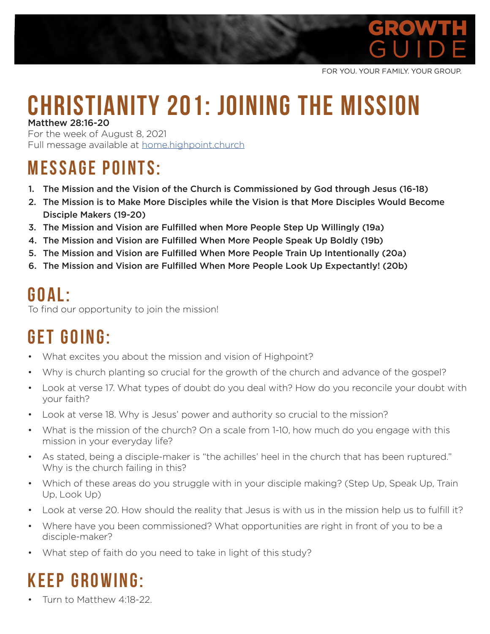

FOR YOU. YOUR FAMILY. YOUR GROUP.

#### **CHRISTIANITY 201: JOINING THE MISSION** Matthew 28:16-20

For the week of August 8, 2021 Full message available at home.highpoint.church

#### **MESSAGE POINTS:**

- 1. The Mission and the Vision of the Church is Commissioned by God through Jesus (16-18)
- 2. The Mission is to Make More Disciples while the Vision is that More Disciples Would Become Disciple Makers (19-20)
- 3. The Mission and Vision are Fulfilled when More People Step Up Willingly (19a)
- 4. The Mission and Vision are Fulfilled When More People Speak Up Boldly (19b)
- 5. The Mission and Vision are Fulfilled When More People Train Up Intentionally (20a)
- 6. The Mission and Vision are Fulfilled When More People Look Up Expectantly! (20b)

#### **G O A L :**

To find our opportunity to join the mission!

# **GET GOING:**

- What excites you about the mission and vision of Highpoint?
- Why is church planting so crucial for the growth of the church and advance of the gospel?
- Look at verse 17. What types of doubt do you deal with? How do you reconcile your doubt with your faith?
- Look at verse 18. Why is Jesus' power and authority so crucial to the mission?
- What is the mission of the church? On a scale from 1-10, how much do you engage with this mission in your everyday life?
- As stated, being a disciple-maker is "the achilles' heel in the church that has been ruptured." Why is the church failing in this?
- Which of these areas do you struggle with in your disciple making? (Step Up, Speak Up, Train Up, Look Up)
- Look at verse 20. How should the reality that Jesus is with us in the mission help us to fulfill it?
- Where have you been commissioned? What opportunities are right in front of you to be a disciple-maker?
- What step of faith do you need to take in light of this study?

## **KEEP GROWING:**

• Turn to Matthew 4:18-22.